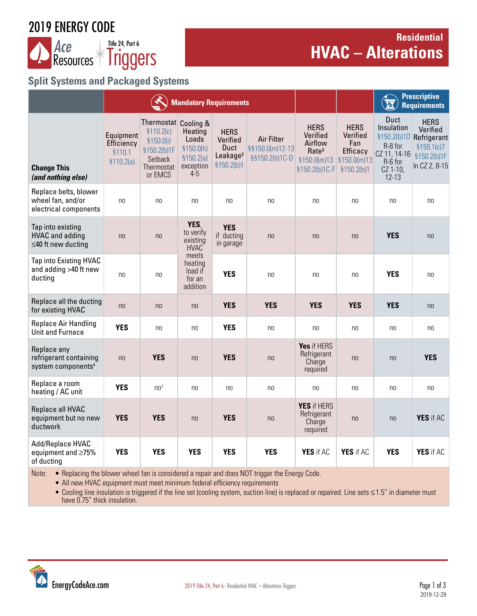# 2019 ENERGY CODE



# **Residential HVAC – Alterations**

# **Split Systems and Packaged Systems**

|                                                                         |                                                 |                                                                                                     | <b>Mandatory Requirements</b>                                      |                                                                        |                                                 | <b>Prescriptive</b><br>R<br><b>Requirements</b>                                                                    |                                            |                                                                                   |                                                                                                   |
|-------------------------------------------------------------------------|-------------------------------------------------|-----------------------------------------------------------------------------------------------------|--------------------------------------------------------------------|------------------------------------------------------------------------|-------------------------------------------------|--------------------------------------------------------------------------------------------------------------------|--------------------------------------------|-----------------------------------------------------------------------------------|---------------------------------------------------------------------------------------------------|
| <b>Change This</b><br>(and nothing else)                                | Equipment<br>Efficiency<br>§110.1<br>\$110.2(a) | Thermostat Cooling &<br>\$110.2(c)<br>\$150.0(i)<br>§150.2(b)1F<br>Setback<br>Thermostat<br>or EMCS | Heating<br>Loads<br>\$150.0(h)<br>\$150.2(a)<br>exception<br>$4-5$ | <b>HERS</b><br>Verified<br>Duct<br>Leakage <sup>2</sup><br>\$150.2(b)1 | Air Filter<br>§§150.0(m)12-13<br>§§150.2(b)1C-D | <b>HERS</b><br>Verified<br>Airflow<br>Rate <sup>3</sup><br>$$150.0(m)13$ $$150.0(m)13$<br>§150.2(b)1C-F §150.2(b)1 | <b>HERS</b><br>Verified<br>Fan<br>Efficacy | Duct<br>Insulation<br>R-8 for<br>CZ 11, 14-16<br>R-6 for<br>CZ 1-10,<br>$12 - 13$ | <b>HERS</b><br>Verified<br>§150.2(b)1D Refrigerant<br>\$150.1(c)7<br>§150.2(b)1F<br>In CZ 2, 8-15 |
| Replace belts, blower<br>wheel fan, and/or<br>electrical components     | n <sub>0</sub>                                  | n <sub>0</sub>                                                                                      | n <sub>0</sub>                                                     | no                                                                     | n <sub>0</sub>                                  | n <sub>0</sub>                                                                                                     | no                                         | no                                                                                | no                                                                                                |
| Tap into existing<br><b>HVAC</b> and adding<br>$\leq$ 40 ft new ducting | no                                              | no                                                                                                  | YES,<br>to verify<br>existing<br>HVAC                              | <b>YES</b><br>if ducting<br>in garage                                  | no                                              | n <sub>0</sub>                                                                                                     | no                                         | <b>YES</b>                                                                        | n <sub>0</sub>                                                                                    |
| Tap into Existing HVAC<br>and adding >40 ft new<br>ducting              | no                                              | no                                                                                                  | meets<br>heating<br>load if<br>for an<br>addition                  | <b>YES</b>                                                             | no                                              | n <sub>0</sub>                                                                                                     | no                                         | <b>YES</b>                                                                        | no                                                                                                |
| Replace all the ducting<br>for existing HVAC                            | n <sub>0</sub>                                  | n <sub>0</sub>                                                                                      | n <sub>0</sub>                                                     | <b>YES</b>                                                             | <b>YES</b>                                      | <b>YES</b>                                                                                                         | <b>YES</b>                                 | <b>YES</b>                                                                        | n <sub>0</sub>                                                                                    |
| Replace Air Handling<br>Unit and Furnace                                | <b>YES</b>                                      | n <sub>0</sub>                                                                                      | no                                                                 | <b>YES</b>                                                             | no                                              | no                                                                                                                 | no                                         | no                                                                                | no                                                                                                |
| Replace any<br>refrigerant containing<br>system components <sup>4</sup> | n <sub>0</sub>                                  | <b>YES</b>                                                                                          | n <sub>0</sub>                                                     | <b>YES</b>                                                             | n <sub>0</sub>                                  | Yes if HERS<br>Refrigerant<br>Charge<br>required                                                                   | no                                         | n <sub>0</sub>                                                                    | <b>YES</b>                                                                                        |
| Replace a room<br>heating / AC unit                                     | <b>YES</b>                                      | n <sub>0</sub> 1                                                                                    | n <sub>0</sub>                                                     | no                                                                     | n <sub>0</sub>                                  | n <sub>0</sub>                                                                                                     | n <sub>0</sub>                             | no                                                                                | n <sub>0</sub>                                                                                    |
| Replace all HVAC<br>equipment but no new<br>ductwork                    | <b>YES</b>                                      | <b>YES</b>                                                                                          | n <sub>0</sub>                                                     | <b>YES</b>                                                             | n <sub>0</sub>                                  | YES if HERS<br>Refrigerant<br>Charge<br>required                                                                   | n <sub>0</sub>                             | n <sub>0</sub>                                                                    | YES if AC                                                                                         |
| Add/Replace HVAC<br>equipment and ≥75%<br>of ducting                    | <b>YES</b>                                      | <b>YES</b>                                                                                          | <b>YES</b>                                                         | <b>YES</b>                                                             | <b>YES</b>                                      | YES if AC                                                                                                          | YES if AC                                  | <b>YES</b>                                                                        | YES if AC                                                                                         |

Note: . • Replacing the blower wheel fan is considered a repair and does NOT trigger the Energy Code.

• All new HVAC equipment must meet minimum federal efficiency requirements

• Cooling line insulation is triggered if the line set (cooling system, suction line) is replaced or repaired. Line sets ≤1.5" in diameter must have 0.75" thick insulation.

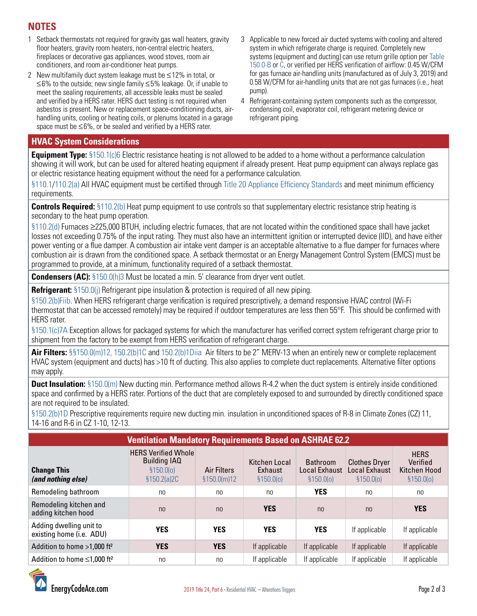# **NOTES**

- 1 Setback thermostats not required for gravity gas wall heaters, gravity floor heaters, gravity room heaters, non-central electric heaters, fireplaces or decorative gas appliances, wood stoves, room air conditioners, and room air-conditioner heat pumps.
- 2 New multifamily duct system leakage must be ≤12% in total, or ≤6% to the outside; new single family ≤5% leakage. Or, if unable to meet the sealing requirements, all accessible leaks must be sealed and verified by a HERS rater. HERS duct testing is not required when asbestos is present. New or replacement space-conditioning ducts, airhandling units, cooling or heating coils, or plenums located in a garage space must be ≤6%, or be sealed and verified by a HERS rater.
- 3 Applicable to new forced air ducted systems with cooling and altered system in which refrigerate charge is required. Completely new systems (equipment and ducting) can use return grille option per [Table](https://energycodeace.com/site/custom/public/reference-ace-2019/Documents/section1500mandatoryfeaturesanddevices.htm#table1500aclassificationofhighefficacylightsources.htm)  [150.0-B or C](https://energycodeace.com/site/custom/public/reference-ace-2019/Documents/section1500mandatoryfeaturesanddevices.htm#table1500aclassificationofhighefficacylightsources.htm), or verified per HERS verification of airflow: 0.45 W/CFM for gas furnace air-handling units (manufactured as of July 3, 2019) and 0.58 W/CFM for air-handling units that are not gas furnaces (i.e., heat pump).
- 4 Refrigerant-containing system components such as the compressor, condensing coil, evaporator coil, refrigerant metering device or refrigerant piping.

#### **HVAC System Considerations**

**Equipment Type:** [§150.1\(c\)6](https://energycodeace.com/site/custom/public/reference-ace-2019/index.html#!Documents/section1501performanceandprescriptivecomplianceapproachesforlowr.htm) Electric resistance heating is not allowed to be added to a home without a performance calculation showing it will work, but can be used for altered heating equipment if already present. Heat pump equipment can always replace gas or electric resistance heating equipment without the need for a performance calculation.

[§110.1/](https://energycodeace.com/site/custom/public/reference-ace-2019/Documents/section1101mandatoryrequirementsforappliances.htm)[110.2\(a\)](https://energycodeace.com/site/custom/public/reference-ace-2019/index.html#!Documents/section1102mandatoryrequirementsforspaceconditioningequipment.htm) All HVAC equipment must be certified through [Title 20 Appliance Efficiency Standards](https://energycodeace.com/content/reference-ace-t20-tool) and meet minimum efficiency requirements.

**Controls Required:** [§110.2\(b\)](https://energycodeace.com/site/custom/public/reference-ace-2019/index.html#!Documents/section1102mandatoryrequirementsforspaceconditioningequipment.htm) Heat pump equipment to use controls so that supplementary electric resistance strip heating is secondary to the heat pump operation.

[§110.2\(d\)](https://energycodeace.com/site/custom/public/reference-ace-2019/index.html#!Documents/section1102mandatoryrequirementsforspaceconditioningequipment.htm) Furnaces ≥225,000 BTUH, including electric furnaces, that are not located within the conditioned space shall have jacket losses not exceeding 0.75% of the input rating. They must also have an intermittent ignition or interrupted device (IID), and have either power venting or a flue damper. A combustion air intake vent damper is an acceptable alternative to a flue damper for furnaces where combustion air is drawn from the conditioned space. A setback thermostat or an Energy Management Control System (EMCS) must be programmed to provide, at a minimum, functionality required of a setback thermostat.

**Condensers (AC):** [§150.0\(h\)3](https://energycodeace.com/site/custom/public/reference-ace-2019/index.html#!Documents/section1500mandatoryfeaturesanddevices.htm) Must be located a min. 5' clearance from dryer vent outlet.

**Refrigerant:** [§150.0\(j\)](https://energycodeace.com/site/custom/public/reference-ace-2019/index.html#!Documents/section1500mandatoryfeaturesanddevices.htm) Refrigerant pipe insulation & protection is required of all new piping.

[§150.2\(b\)Fiib](https://energycodeace.com/site/custom/public/reference-ace-2019/index.html#!Documents/section1502energyefficiencystandardsforadditionsandalterationsto.htm). When HERS refrigerant charge verification is required prescriptively, a demand responsive HVAC control (Wi-Fi thermostat that can be accessed remotely) may be required if outdoor temperatures are less then 55°F. This should be confirmed with HERS rater.

[§150.1\(c\)7A](https://energycodeace.com/site/custom/public/reference-ace-2019/index.html#!Documents/section1501performanceandprescriptivecomplianceapproachesforlowr.htm) Exception allows for packaged systems for which the manufacturer has verified correct system refrigerant charge prior to shipment from the factory to be exempt from HERS verification of refrigerant charge.

**Air Filters:** [§§150.0\(m\)12,](https://energycodeace.com/site/custom/public/reference-ace-2019/index.html#!Documents/section1500mandatoryfeaturesanddevices.htm) [150.2\(b\)1C](https://energycodeace.com/site/custom/public/reference-ace-2019/index.html#!Documents/section1502energyefficiencystandardsforadditionsandalterationsto.htm) and [150.2\(b\)1Diia](https://energycodeace.com/site/custom/public/reference-ace-2019/index.html#!Documents/section1502energyefficiencystandardsforadditionsandalterationsto.htm) Air filters to be 2" MERV-13 when an entirely new or complete replacement HVAC system (equipment and ducts) has >10 ft of ducting. This also applies to complete duct replacements. Alternative filter options may apply.

**Duct Insulation:** [§150.0\(m\)](https://energycodeace.com/site/custom/public/reference-ace-2019/index.html#!Documents/section1500mandatoryfeaturesanddevices.htm) New ducting min. Performance method allows R-4.2 when the duct system is entirely inside conditioned space and confirmed by a HERS rater. Portions of the duct that are completely exposed to and surrounded by directly conditioned space are not required to be insulated.

[§150.2\(b\)1D](https://energycodeace.com/site/custom/public/reference-ace-2019/index.html#!Documents/section1502energyefficiencystandardsforadditionsandalterationsto.htm) Prescriptive requirements require new ducting min. insulation in unconditioned spaces of R-8 in Climate Zones (CZ) 11, 14-16 and R-6 in CZ 1-10, 12-13.

| <b>Ventilation Mandatory Requirements Based on ASHRAE 62.2</b> |                                                                                 |                                    |                                        |                                                                 |                                                            |                                                       |  |  |  |  |  |  |  |
|----------------------------------------------------------------|---------------------------------------------------------------------------------|------------------------------------|----------------------------------------|-----------------------------------------------------------------|------------------------------------------------------------|-------------------------------------------------------|--|--|--|--|--|--|--|
| <b>Change This</b><br>(and nothing else)                       | <b>HERS Verified Whole</b><br><b>Building IAQ</b><br>\$150.0(0)<br>\$150.2(a)2C | <b>Air Filters</b><br>\$150.0(m)12 | Kitchen Local<br>Exhaust<br>\$150.0(0) | <b>Bathroom</b><br><b>Local Exhaust</b><br>\$150.0 <sub>o</sub> | <b>Clothes Dryer</b><br><b>Local Exhaust</b><br>\$150.0(0) | <b>HERS</b><br>Verified<br>Kitchen Hood<br>\$150.0(0) |  |  |  |  |  |  |  |
| Remodeling bathroom                                            | no                                                                              | no                                 | no                                     | <b>YES</b>                                                      | no                                                         | no.                                                   |  |  |  |  |  |  |  |
| Remodeling kitchen and<br>adding kitchen hood                  | n <sub>0</sub>                                                                  | n <sub>0</sub>                     | <b>YES</b>                             | n <sub>0</sub>                                                  | n <sub>0</sub>                                             | <b>YES</b>                                            |  |  |  |  |  |  |  |
| Adding dwelling unit to<br>existing home (i.e. ADU)            | <b>YES</b>                                                                      | <b>YES</b>                         | <b>YES</b>                             | <b>YES</b>                                                      | If applicable                                              | If applicable                                         |  |  |  |  |  |  |  |
| Addition to home >1,000 ft <sup>2</sup>                        | <b>YES</b>                                                                      | <b>YES</b>                         | If applicable                          | If applicable                                                   | If applicable                                              | If applicable                                         |  |  |  |  |  |  |  |
| Addition to home $\leq 1,000$ ft <sup>2</sup>                  | no                                                                              | no                                 | If applicable                          | If applicable                                                   | If applicable                                              | If applicable                                         |  |  |  |  |  |  |  |